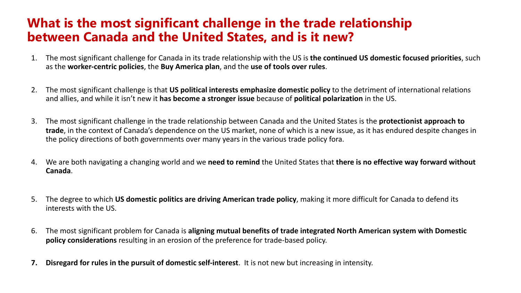## **What is the most significant challenge in the trade relationship between Canada and the United States, and is it new?**

- 1. The most significant challenge for Canada in its trade relationship with the US is **the continued US domestic focused priorities**, such as the **worker-centric policies**, the **Buy America plan**, and the **use of tools over rules**.
- 2. The most significant challenge is that **US political interests emphasize domestic policy** to the detriment of international relations and allies, and while it isn't new it **has become a stronger issue** because of **political polarization** in the US.
- 3. The most significant challenge in the trade relationship between Canada and the United States is the **protectionist approach to trade**, in the context of Canada's dependence on the US market, none of which is a new issue, as it has endured despite changes in the policy directions of both governments over many years in the various trade policy fora.
- 4. We are both navigating a changing world and we **need to remind** the United States that **there is no effective way forward without Canada**.
- 5. The degree to which **US domestic politics are driving American trade policy**, making it more difficult for Canada to defend its interests with the US.
- 6. The most significant problem for Canada is **aligning mutual benefits of trade integrated North American system with Domestic policy considerations** resulting in an erosion of the preference for trade-based policy.
- **7. Disregard for rules in the pursuit of domestic self-interest**. It is not new but increasing in intensity.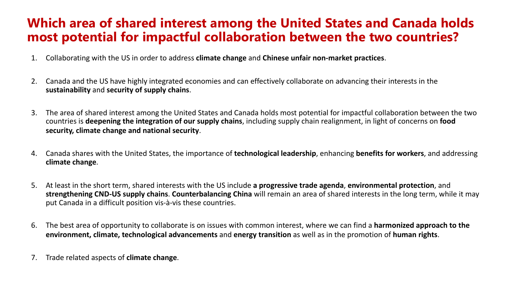## **Which area of shared interest among the United States and Canada holds most potential for impactful collaboration between the two countries?**

- 1. Collaborating with the US in order to address **climate change** and **Chinese unfair non-market practices**.
- 2. Canada and the US have highly integrated economies and can effectively collaborate on advancing their interests in the **sustainability** and **security of supply chains**.
- 3. The area of shared interest among the United States and Canada holds most potential for impactful collaboration between the two countries is **deepening the integration of our supply chains**, including supply chain realignment, in light of concerns on **food security, climate change and national security**.
- 4. Canada shares with the United States, the importance of **technological leadership**, enhancing **benefits for workers**, and addressing **climate change**.
- 5. At least in the short term, shared interests with the US include **a progressive trade agenda**, **environmental protection**, and **strengthening CND-US supply chains**. **Counterbalancing China** will remain an area of shared interests in the long term, while it may put Canada in a difficult position vis-à-vis these countries.
- 6. The best area of opportunity to collaborate is on issues with common interest, where we can find a **harmonized approach to the environment, climate, technological advancements** and **energy transition** as well as in the promotion of **human rights**.
- 7. Trade related aspects of **climate change**.